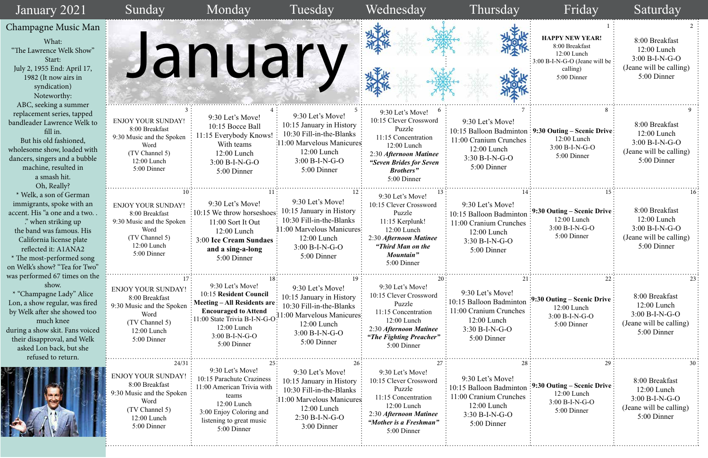|                          | 1<br><b>HAPPY NEW YEAR!</b><br>8:00 Breakfast                                        | 2<br>8:00 Breakfast<br>12:00 Lunch                                                                           |
|--------------------------|--------------------------------------------------------------------------------------|--------------------------------------------------------------------------------------------------------------|
|                          | 12:00 Lunch<br>3:00 B-I-N-G-O (Jeane will be<br>calling)<br>5:00 Dinner              | $3:00 B-I-N-G-O$<br>(Jeane will be calling)<br>5:00 Dinner                                                   |
| 7<br>nc<br>2S            | 8<br>9:30 Outing – Scenic Drive<br>12:00 Lunch<br>3:00 B-I-N-G-O<br>5:00 Dinner      | 9<br>8:00 Breakfast<br>12:00 Lunch<br>$3:00 B-I-N-G-O$<br>(Jeane will be calling)<br>5:00 Dinner             |
| 14<br>οn<br>$\mathbf{S}$ | 15<br>9:30 Outing – Scenic Drive<br>12:00 Lunch<br>$3:00 B-I-N-G-O$<br>5:00 Dinner   | 16 <sup>°</sup><br>8:00 Breakfast<br>12:00 Lunch<br>3:00 B-I-N-G-O<br>(Jeane will be calling)<br>5:00 Dinner |
| 21:<br>m<br>`S           | 22<br>9:30 Outing – Scenic Drive<br>$12:00$ Lunch<br>$3:00 B-I-N-G-O$<br>5:00 Dinner | 23<br>8:00 Breakfast<br>12:00 Lunch<br>$3:00 B-I-N-G-O$<br>(Jeane will be calling)<br>5:00 Dinner            |
| 28<br>ρn<br>$\mathbf{S}$ | 29<br>9:30 Outing – Scenic Drive<br>12:00 Lunch<br>$3:00 B-I-N-G-O$<br>5:00 Dinner   | 30<br>8:00 Breakfast<br>$12:00$ Lunch<br>$3:00 B-I-N-G-O$<br>(Jeane will be calling)<br>5:00 Dinner          |

| January 2021                                                                                                                                                                                                                                                         | Sunday                                                                                                                                   | Monday                                                                                                                                                                                    | Tuesday                                                                                                                                                    | Wednesday                                                                                                                                                                           | Thursday                                                                                                                | Friday                                                                                                              | Saturday                                                                                      |
|----------------------------------------------------------------------------------------------------------------------------------------------------------------------------------------------------------------------------------------------------------------------|------------------------------------------------------------------------------------------------------------------------------------------|-------------------------------------------------------------------------------------------------------------------------------------------------------------------------------------------|------------------------------------------------------------------------------------------------------------------------------------------------------------|-------------------------------------------------------------------------------------------------------------------------------------------------------------------------------------|-------------------------------------------------------------------------------------------------------------------------|---------------------------------------------------------------------------------------------------------------------|-----------------------------------------------------------------------------------------------|
| Champagne Music Man<br>What:<br>"The Lawrence Welk Show"<br>Start:<br>July 2, 1955 End: April 17,<br>1982 (It now airs in<br>syndication)<br>Noteworthy:<br>ABC, seeking a summer                                                                                    |                                                                                                                                          | January                                                                                                                                                                                   |                                                                                                                                                            |                                                                                                                                                                                     |                                                                                                                         | <b>HAPPY NEW YEAR!</b><br>8:00 Breakfast<br>12:00 Lunch<br>3:00 B-I-N-G-O (Jeane will be<br>calling)<br>5:00 Dinner | 8:00 Breakfast<br>12:00 Lunch<br>$3:00 B-I-N-G-O$<br>(Jeane will be calling)<br>5:00 Dinner   |
| replacement series, tapped<br>bandleader Lawrence Welk to<br>fill in.<br>But his old fashioned,<br>wholesome show, loaded with<br>dancers, singers and a bubble<br>machine, resulted in<br>a smash hit.<br>Oh, Really?                                               | <b>ENJOY YOUR SUNDAY!</b><br>8:00 Breakfast<br>9:30 Music and the Spoken<br>Word<br>(TV Channel 5)<br>12:00 Lunch<br>5:00 Dinner         | 9:30 Let's Move!<br>10:15 Bocce Ball<br>11:15 Everybody Knows!<br>With teams<br>12:00 Lunch<br>$3:00 B-I-N-G-O$<br>5:00 Dinner                                                            | 9:30 Let's Move!<br>10:15 January in History<br>10:30 Fill-in-the-Blanks<br>:11:00 Marvelous Manicures<br>$12:00$ Lunch<br>$3:00 B-I-N-G-O$<br>5:00 Dinner | 9:30 Let's Move!<br>10:15 Clever Crossword<br>Puzzle<br>11:15 Concentration<br>12:00 Lunch<br>2:30 Afternoon Matinee<br>"Seven Brides for Seven<br><b>Brothers</b> "<br>5:00 Dinner | 9:30 Let's Move!<br>11:00 Cranium Crunches :<br>12:00 Lunch<br>$3:30 B-I-N-G-O$<br>5:00 Dinner                          | 10:15 Balloon Badminton: 9:30 Outing - Scenic Drive:<br>$12:00$ Lunch<br>3:00 B-I-N-G-O<br>5:00 Dinner              | 8:00 Breakfast<br>12:00 Lunch<br>$3:00 B-I-N-G-O$<br>(Jeane will be calling)<br>5:00 Dinner   |
| * Welk, a son of German<br>immigrants, spoke with an<br>accent. His "a one and a two<br>" when striking up<br>the band was famous. His<br>California license plate<br>reflected it: A1ANA2<br>* The most-performed song<br>on Welk's show? "Tea for Two"             | <b>ENJOY YOUR SUNDAY!</b><br>8:00 Breakfast<br>9:30 Music and the Spoken<br>Word<br>(TV Channel 5)<br>12:00 Lunch<br>5:00 Dinner         | 9:30 Let's Move!<br>:10:15 We throw horseshoes<br>11:00 Sort It Out<br>12:00 Lunch<br><b>3:00 Ice Cream Sundaes</b><br>and a sing-a-long<br>5:00 Dinner                                   | 9:30 Let's Move!<br>10:15 January in History<br>10:30 Fill-in-the-Blanks<br>11:00 Marvelous Manicures:<br>12:00 Lunch<br>$3:00 B-I-N-G-O$<br>5:00 Dinner   | 9:30 Let's Move!<br>10:15 Clever Crossword<br>Puzzle<br>11:15 Kerplunk!<br>12:00 Lunch<br>2:30 Afternoon Matinee<br>"Third Man on the<br>Mountain"<br>5:00 Dinner                   | 9:30 Let's Move!<br>10:15 Balloon Badminton<br>11:00 Cranium Crunches<br>12:00 Lunch<br>$3:30 B-I-N-G-O$<br>5:00 Dinner | $\frac{1}{2}$ :30 Outing – Scenic Drive:<br>$12:00$ Lunch<br>3:00 B-I-N-G-O<br>5:00 Dinner                          | 8:00 Breakfast<br>$12:00$ Lunch<br>$3:00 B-I-N-G-O$<br>(Jeane will be calling)<br>5:00 Dinner |
| was performed 67 times on the<br>show.<br>* "Champagne Lady" Alice<br>Lon, a show regular, was fired<br>by Welk after she showed too<br>much knee<br>during a show skit. Fans voiced<br>their disapproval, and Welk<br>asked Lon back, but she<br>refused to return. | <b>ENJOY YOUR SUNDAY!</b><br>8:00 Breakfast<br>9:30 Music and the Spoken<br>Word<br>(TV Channel 5)<br>12:00 Lunch<br>5:00 Dinner         | 9:30 Let's Move!<br>10:15 Resident Council<br>: Meeting – All Residents are<br><b>Encouraged to Attend</b><br>1:00 State Trivia B-I-N-G-O<br>12:00 Lunch<br>3:00 B-I-N-G-O<br>5:00 Dinner | 9:30 Let's Move!<br>10:15 January in History<br>10:30 Fill-in-the-Blanks<br>1:00 Marvelous Manicures:<br>$12:00$ Lunch<br>$3:00 B-I-N-G-O$<br>5:00 Dinner  | $20 \cdot$<br>9:30 Let's Move!<br>10:15 Clever Crossword<br>Puzzle<br>11:15 Concentration<br>12:00 Lunch<br>2:30 Afternoon Matinee<br>"The Fighting Preacher"<br>5:00 Dinner        | 9:30 Let's Move!<br>10:15 Balloon Badminton<br>11:00 Cranium Crunches<br>12:00 Lunch<br>$3:30 B-I-N-G-O$<br>5:00 Dinner | $\frac{1}{2}$ :30 Outing – Scenic Drive<br>12:00 Lunch<br>3:00 B-I-N-G-O<br>5:00 Dinner                             | 8:00 Breakfast<br>12:00 Lunch<br>$3:00 B-I-N-G-O$<br>(Jeane will be calling)<br>5:00 Dinner   |
|                                                                                                                                                                                                                                                                      | 24/31<br><b>ENJOY YOUR SUNDAY</b><br>8:00 Breakfast<br>9:30 Music and the Spoken<br>Word<br>(TV Channel 5)<br>12:00 Lunch<br>5:00 Dinner | 9:30 Let's Move!<br>10:15 Parachute Craziness<br>1:00 American Trivia with<br>teams<br>12:00 Lunch<br>3:00 Enjoy Coloring and<br>listening to great music<br>5:00 Dinner                  | 9:30 Let's Move!<br>10:15 January in History<br>10:30 Fill-in-the-Blanks<br>:00 Marvelous Manicures<br>12:00 Lunch<br>$2:30 B-I-N-G-O$<br>3:00 Dinner      | 9:30 Let's Move!<br>10:15 Clever Crossword<br>Puzzle<br>11:15 Concentration<br>12:00 Lunch<br>2:30 Afternoon Matinee<br>"Mother is a Freshman"<br>5:00 Dinner                       | 9:30 Let's Move!<br>10:15 Balloon Badminton<br>11:00 Cranium Crunches<br>12:00 Lunch<br>3:30 B-I-N-G-O<br>5:00 Dinner   | 9:30 Outing – Scenic Drive<br>$12:00$ Lunch<br>3:00 B-I-N-G-O<br>5:00 Dinner                                        | 8:00 Breakfast<br>12:00 Lunch<br>$3:00 B-I-N-G-O$<br>(Jeane will be calling)<br>5:00 Dinner   |

2) C CARD